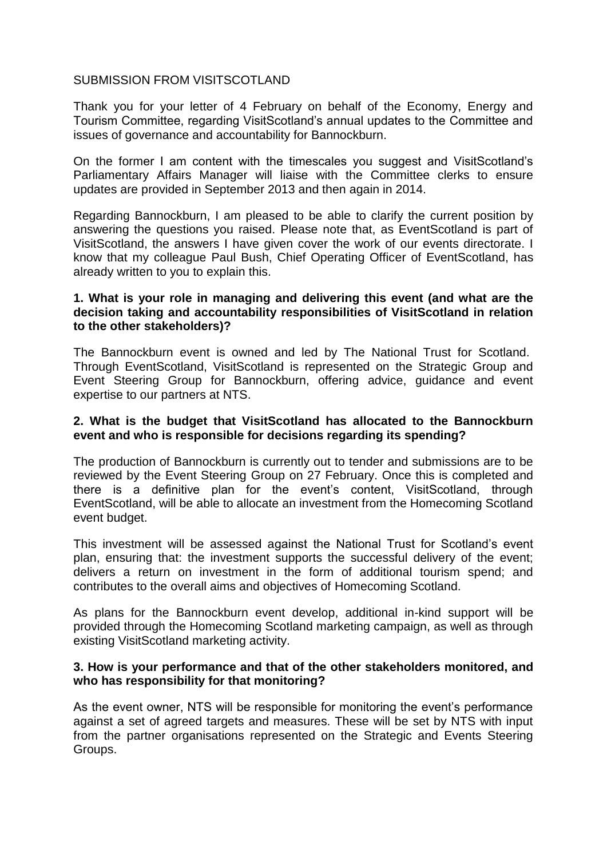## SUBMISSION FROM VISITSCOTLAND

Thank you for your letter of 4 February on behalf of the Economy, Energy and Tourism Committee, regarding VisitScotland's annual updates to the Committee and issues of governance and accountability for Bannockburn.

On the former I am content with the timescales you suggest and VisitScotland's Parliamentary Affairs Manager will liaise with the Committee clerks to ensure updates are provided in September 2013 and then again in 2014.

Regarding Bannockburn, I am pleased to be able to clarify the current position by answering the questions you raised. Please note that, as EventScotland is part of VisitScotland, the answers I have given cover the work of our events directorate. I know that my colleague Paul Bush, Chief Operating Officer of EventScotland, has already written to you to explain this.

## **1. What is your role in managing and delivering this event (and what are the decision taking and accountability responsibilities of VisitScotland in relation to the other stakeholders)?**

The Bannockburn event is owned and led by The National Trust for Scotland. Through EventScotland, VisitScotland is represented on the Strategic Group and Event Steering Group for Bannockburn, offering advice, guidance and event expertise to our partners at NTS.

### **2. What is the budget that VisitScotland has allocated to the Bannockburn event and who is responsible for decisions regarding its spending?**

The production of Bannockburn is currently out to tender and submissions are to be reviewed by the Event Steering Group on 27 February. Once this is completed and there is a definitive plan for the event's content, VisitScotland, through EventScotland, will be able to allocate an investment from the Homecoming Scotland event budget.

This investment will be assessed against the National Trust for Scotland's event plan, ensuring that: the investment supports the successful delivery of the event; delivers a return on investment in the form of additional tourism spend; and contributes to the overall aims and objectives of Homecoming Scotland.

As plans for the Bannockburn event develop, additional in-kind support will be provided through the Homecoming Scotland marketing campaign, as well as through existing VisitScotland marketing activity.

## **3. How is your performance and that of the other stakeholders monitored, and who has responsibility for that monitoring?**

As the event owner, NTS will be responsible for monitoring the event's performance against a set of agreed targets and measures. These will be set by NTS with input from the partner organisations represented on the Strategic and Events Steering Groups.